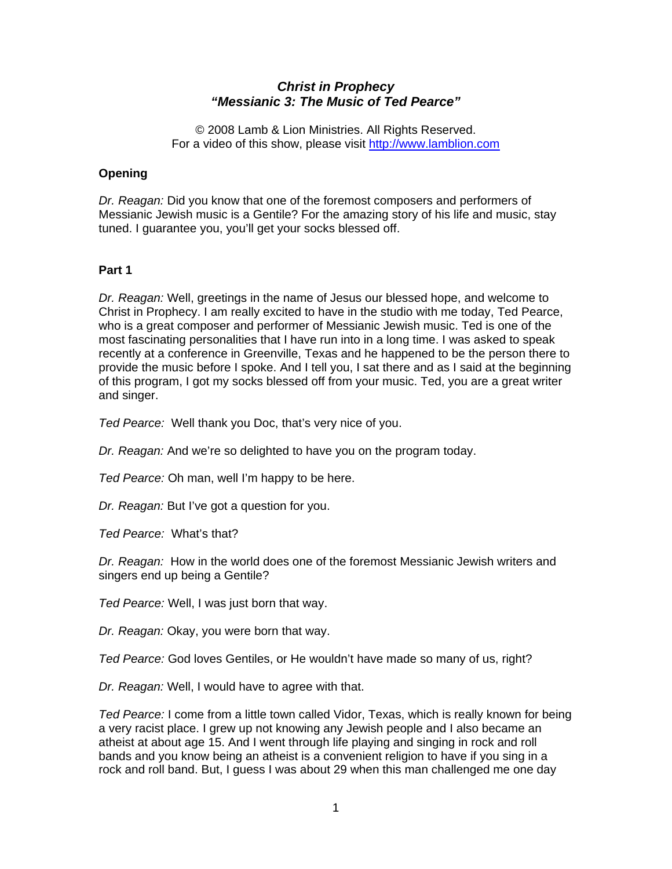# *Christ in Prophecy "Messianic 3: The Music of Ted Pearce"*

© 2008 Lamb & Lion Ministries. All Rights Reserved. For a video of this show, please visit [http://www.lamblion.com](http://www.lamblion.com/)

### **Opening**

*Dr. Reagan:* Did you know that one of the foremost composers and performers of Messianic Jewish music is a Gentile? For the amazing story of his life and music, stay tuned. I guarantee you, you'll get your socks blessed off.

#### **Part 1**

*Dr. Reagan:* Well, greetings in the name of Jesus our blessed hope, and welcome to Christ in Prophecy. I am really excited to have in the studio with me today, Ted Pearce, who is a great composer and performer of Messianic Jewish music. Ted is one of the most fascinating personalities that I have run into in a long time. I was asked to speak recently at a conference in Greenville, Texas and he happened to be the person there to provide the music before I spoke. And I tell you, I sat there and as I said at the beginning of this program, I got my socks blessed off from your music. Ted, you are a great writer and singer.

*Ted Pearce:* Well thank you Doc, that's very nice of you.

*Dr. Reagan:* And we're so delighted to have you on the program today.

*Ted Pearce:* Oh man, well I'm happy to be here.

*Dr. Reagan:* But I've got a question for you.

*Ted Pearce:* What's that?

*Dr. Reagan:* How in the world does one of the foremost Messianic Jewish writers and singers end up being a Gentile?

*Ted Pearce:* Well, I was just born that way.

*Dr. Reagan:* Okay, you were born that way.

*Ted Pearce:* God loves Gentiles, or He wouldn't have made so many of us, right?

*Dr. Reagan:* Well, I would have to agree with that.

*Ted Pearce:* I come from a little town called Vidor, Texas, which is really known for being a very racist place. I grew up not knowing any Jewish people and I also became an atheist at about age 15. And I went through life playing and singing in rock and roll bands and you know being an atheist is a convenient religion to have if you sing in a rock and roll band. But, I guess I was about 29 when this man challenged me one day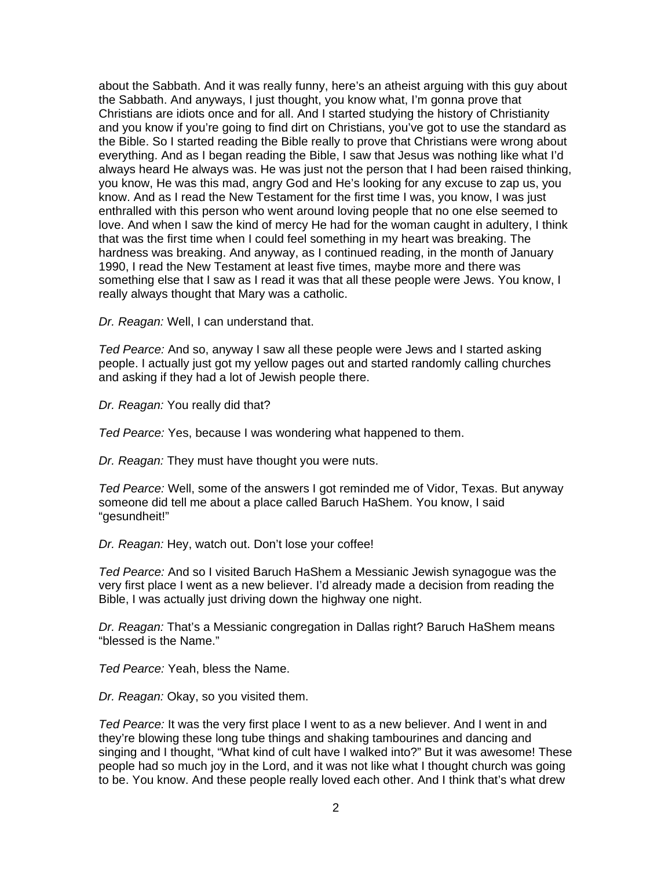about the Sabbath. And it was really funny, here's an atheist arguing with this guy about the Sabbath. And anyways, I just thought, you know what, I'm gonna prove that Christians are idiots once and for all. And I started studying the history of Christianity and you know if you're going to find dirt on Christians, you've got to use the standard as the Bible. So I started reading the Bible really to prove that Christians were wrong about everything. And as I began reading the Bible, I saw that Jesus was nothing like what I'd always heard He always was. He was just not the person that I had been raised thinking, you know, He was this mad, angry God and He's looking for any excuse to zap us, you know. And as I read the New Testament for the first time I was, you know, I was just enthralled with this person who went around loving people that no one else seemed to love. And when I saw the kind of mercy He had for the woman caught in adultery, I think that was the first time when I could feel something in my heart was breaking. The hardness was breaking. And anyway, as I continued reading, in the month of January 1990, I read the New Testament at least five times, maybe more and there was something else that I saw as I read it was that all these people were Jews. You know, I really always thought that Mary was a catholic.

*Dr. Reagan:* Well, I can understand that.

*Ted Pearce:* And so, anyway I saw all these people were Jews and I started asking people. I actually just got my yellow pages out and started randomly calling churches and asking if they had a lot of Jewish people there.

*Dr. Reagan:* You really did that?

*Ted Pearce:* Yes, because I was wondering what happened to them.

*Dr. Reagan:* They must have thought you were nuts.

*Ted Pearce:* Well, some of the answers I got reminded me of Vidor, Texas. But anyway someone did tell me about a place called Baruch HaShem. You know, I said "gesundheit!"

*Dr. Reagan:* Hey, watch out. Don't lose your coffee!

*Ted Pearce:* And so I visited Baruch HaShem a Messianic Jewish synagogue was the very first place I went as a new believer. I'd already made a decision from reading the Bible, I was actually just driving down the highway one night.

*Dr. Reagan:* That's a Messianic congregation in Dallas right? Baruch HaShem means "blessed is the Name."

*Ted Pearce:* Yeah, bless the Name.

*Dr. Reagan:* Okay, so you visited them.

*Ted Pearce:* It was the very first place I went to as a new believer. And I went in and they're blowing these long tube things and shaking tambourines and dancing and singing and I thought, "What kind of cult have I walked into?" But it was awesome! These people had so much joy in the Lord, and it was not like what I thought church was going to be. You know. And these people really loved each other. And I think that's what drew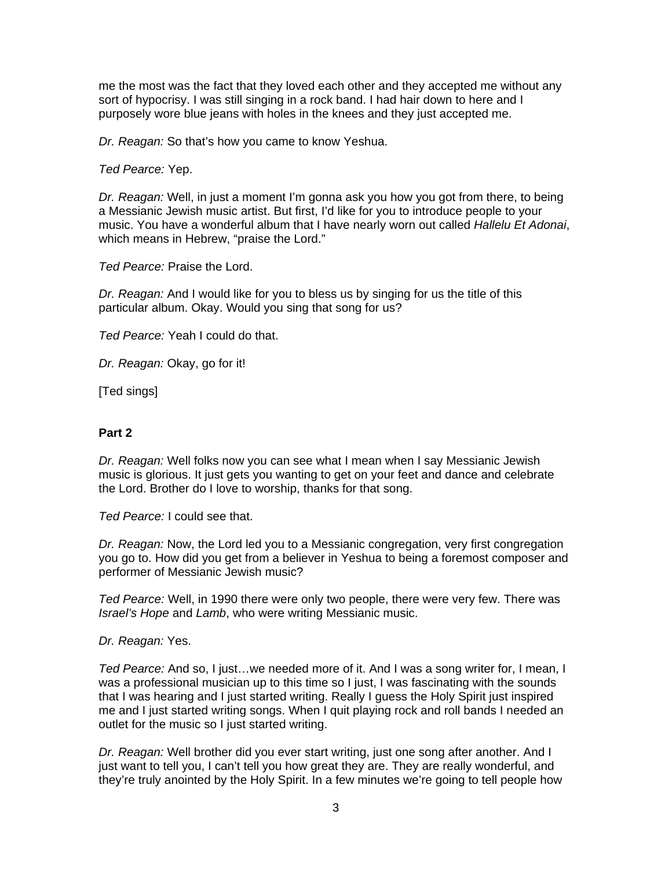me the most was the fact that they loved each other and they accepted me without any sort of hypocrisy. I was still singing in a rock band. I had hair down to here and I purposely wore blue jeans with holes in the knees and they just accepted me.

*Dr. Reagan:* So that's how you came to know Yeshua.

*Ted Pearce:* Yep.

*Dr. Reagan:* Well, in just a moment I'm gonna ask you how you got from there, to being a Messianic Jewish music artist. But first, I'd like for you to introduce people to your music. You have a wonderful album that I have nearly worn out called *Hallelu Et Adonai*, which means in Hebrew, "praise the Lord."

*Ted Pearce:* Praise the Lord.

*Dr. Reagan:* And I would like for you to bless us by singing for us the title of this particular album. Okay. Would you sing that song for us?

*Ted Pearce:* Yeah I could do that.

*Dr. Reagan:* Okay, go for it!

[Ted sings]

### **Part 2**

*Dr. Reagan:* Well folks now you can see what I mean when I say Messianic Jewish music is glorious. It just gets you wanting to get on your feet and dance and celebrate the Lord. Brother do I love to worship, thanks for that song.

*Ted Pearce:* I could see that.

*Dr. Reagan:* Now, the Lord led you to a Messianic congregation, very first congregation you go to. How did you get from a believer in Yeshua to being a foremost composer and performer of Messianic Jewish music?

*Ted Pearce:* Well, in 1990 there were only two people, there were very few. There was *Israel's Hope* and *Lamb*, who were writing Messianic music.

*Dr. Reagan:* Yes.

*Ted Pearce:* And so, I just…we needed more of it. And I was a song writer for, I mean, I was a professional musician up to this time so I just, I was fascinating with the sounds that I was hearing and I just started writing. Really I guess the Holy Spirit just inspired me and I just started writing songs. When I quit playing rock and roll bands I needed an outlet for the music so I just started writing.

*Dr. Reagan:* Well brother did you ever start writing, just one song after another. And I just want to tell you, I can't tell you how great they are. They are really wonderful, and they're truly anointed by the Holy Spirit. In a few minutes we're going to tell people how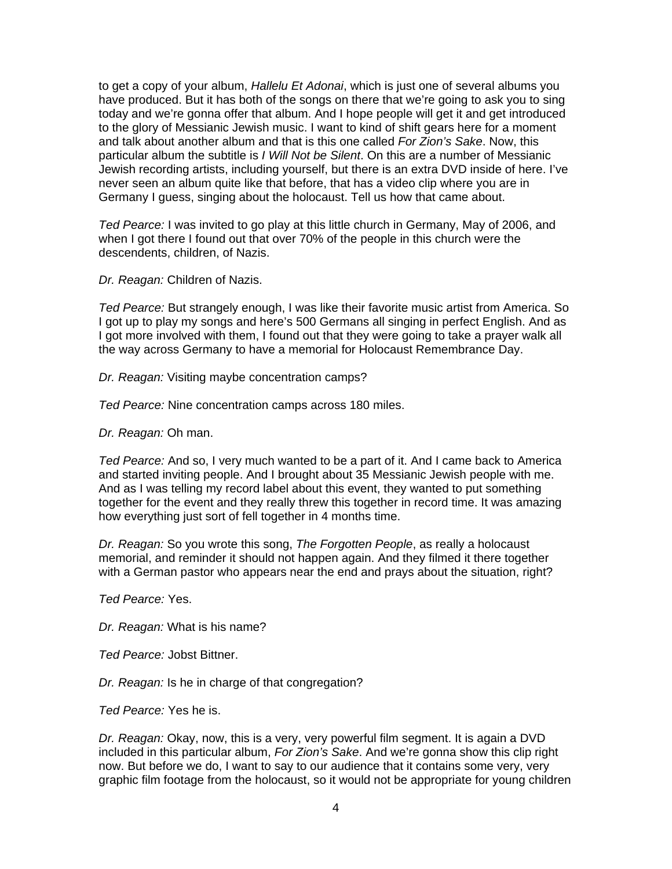to get a copy of your album, *Hallelu Et Adonai*, which is just one of several albums you have produced. But it has both of the songs on there that we're going to ask you to sing today and we're gonna offer that album. And I hope people will get it and get introduced to the glory of Messianic Jewish music. I want to kind of shift gears here for a moment and talk about another album and that is this one called *For Zion's Sake*. Now, this particular album the subtitle is *I Will Not be Silent*. On this are a number of Messianic Jewish recording artists, including yourself, but there is an extra DVD inside of here. I've never seen an album quite like that before, that has a video clip where you are in Germany I guess, singing about the holocaust. Tell us how that came about.

*Ted Pearce:* I was invited to go play at this little church in Germany, May of 2006, and when I got there I found out that over 70% of the people in this church were the descendents, children, of Nazis.

*Dr. Reagan:* Children of Nazis.

*Ted Pearce:* But strangely enough, I was like their favorite music artist from America. So I got up to play my songs and here's 500 Germans all singing in perfect English. And as I got more involved with them, I found out that they were going to take a prayer walk all the way across Germany to have a memorial for Holocaust Remembrance Day.

*Dr. Reagan:* Visiting maybe concentration camps?

*Ted Pearce:* Nine concentration camps across 180 miles.

*Dr. Reagan:* Oh man.

*Ted Pearce:* And so, I very much wanted to be a part of it. And I came back to America and started inviting people. And I brought about 35 Messianic Jewish people with me. And as I was telling my record label about this event, they wanted to put something together for the event and they really threw this together in record time. It was amazing how everything just sort of fell together in 4 months time.

*Dr. Reagan:* So you wrote this song, *The Forgotten People*, as really a holocaust memorial, and reminder it should not happen again. And they filmed it there together with a German pastor who appears near the end and prays about the situation, right?

*Ted Pearce:* Yes.

*Dr. Reagan:* What is his name?

*Ted Pearce:* Jobst Bittner.

*Dr. Reagan:* Is he in charge of that congregation?

*Ted Pearce:* Yes he is.

*Dr. Reagan:* Okay, now, this is a very, very powerful film segment. It is again a DVD included in this particular album, *For Zion's Sake*. And we're gonna show this clip right now. But before we do, I want to say to our audience that it contains some very, very graphic film footage from the holocaust, so it would not be appropriate for young children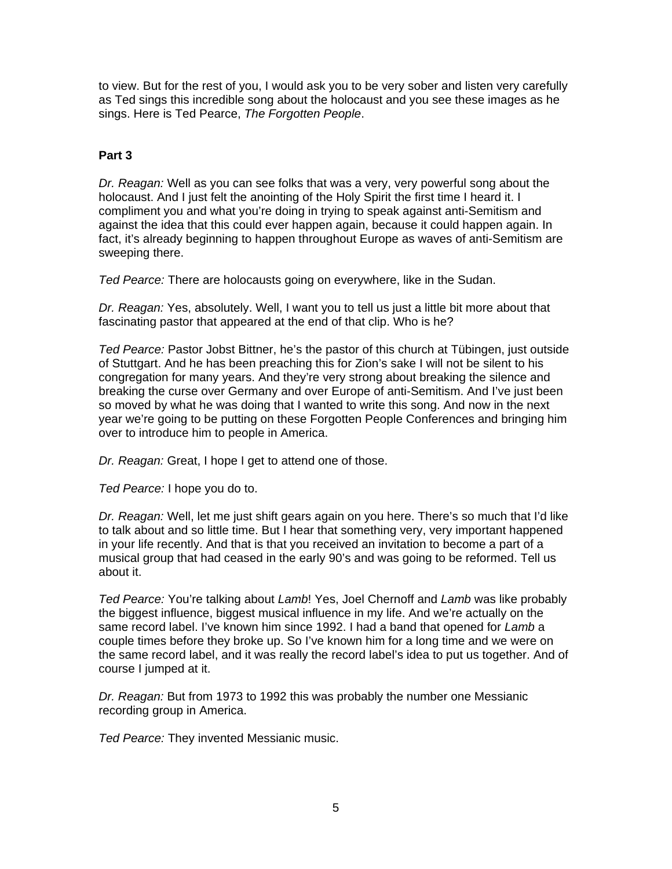to view. But for the rest of you, I would ask you to be very sober and listen very carefully as Ted sings this incredible song about the holocaust and you see these images as he sings. Here is Ted Pearce, *The Forgotten People*.

## **Part 3**

*Dr. Reagan:* Well as you can see folks that was a very, very powerful song about the holocaust. And I just felt the anointing of the Holy Spirit the first time I heard it. I compliment you and what you're doing in trying to speak against anti-Semitism and against the idea that this could ever happen again, because it could happen again. In fact, it's already beginning to happen throughout Europe as waves of anti-Semitism are sweeping there.

*Ted Pearce:* There are holocausts going on everywhere, like in the Sudan.

*Dr. Reagan:* Yes, absolutely. Well, I want you to tell us just a little bit more about that fascinating pastor that appeared at the end of that clip. Who is he?

*Ted Pearce:* Pastor Jobst Bittner, he's the pastor of this church at Tübingen, just outside of Stuttgart. And he has been preaching this for Zion's sake I will not be silent to his congregation for many years. And they're very strong about breaking the silence and breaking the curse over Germany and over Europe of anti-Semitism. And I've just been so moved by what he was doing that I wanted to write this song. And now in the next year we're going to be putting on these Forgotten People Conferences and bringing him over to introduce him to people in America.

*Dr. Reagan:* Great, I hope I get to attend one of those.

*Ted Pearce:* I hope you do to.

*Dr. Reagan:* Well, let me just shift gears again on you here. There's so much that I'd like to talk about and so little time. But I hear that something very, very important happened in your life recently. And that is that you received an invitation to become a part of a musical group that had ceased in the early 90's and was going to be reformed. Tell us about it.

*Ted Pearce:* You're talking about *Lamb*! Yes, Joel Chernoff and *Lamb* was like probably the biggest influence, biggest musical influence in my life. And we're actually on the same record label. I've known him since 1992. I had a band that opened for *Lamb* a couple times before they broke up. So I've known him for a long time and we were on the same record label, and it was really the record label's idea to put us together. And of course I jumped at it.

*Dr. Reagan:* But from 1973 to 1992 this was probably the number one Messianic recording group in America.

*Ted Pearce:* They invented Messianic music.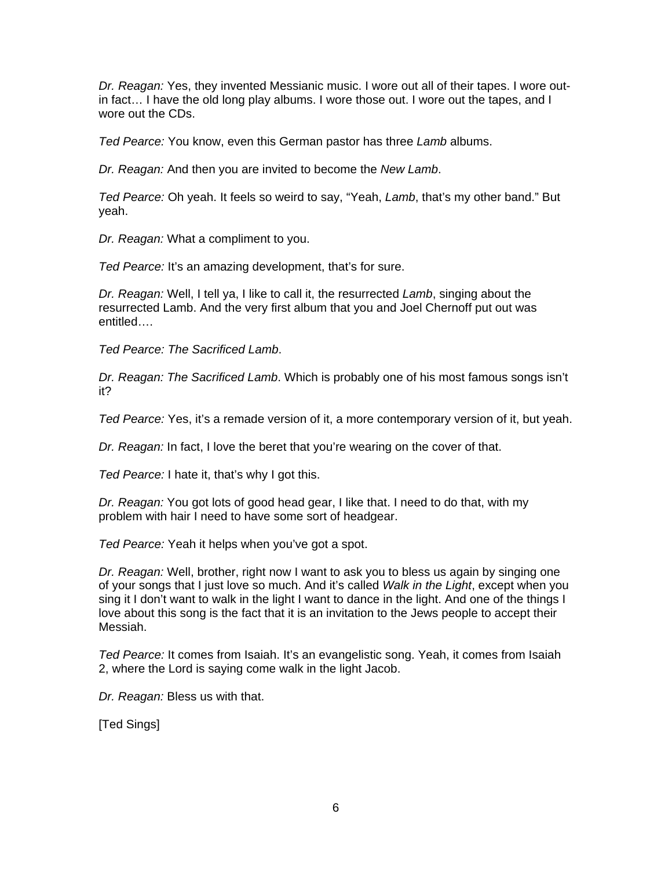*Dr. Reagan:* Yes, they invented Messianic music. I wore out all of their tapes. I wore outin fact… I have the old long play albums. I wore those out. I wore out the tapes, and I wore out the CDs.

*Ted Pearce:* You know, even this German pastor has three *Lamb* albums.

*Dr. Reagan:* And then you are invited to become the *New Lamb*.

*Ted Pearce:* Oh yeah. It feels so weird to say, "Yeah, *Lamb*, that's my other band." But yeah.

*Dr. Reagan:* What a compliment to you.

*Ted Pearce:* It's an amazing development, that's for sure.

*Dr. Reagan:* Well, I tell ya, I like to call it, the resurrected *Lamb*, singing about the resurrected Lamb. And the very first album that you and Joel Chernoff put out was entitled….

*Ted Pearce: The Sacrificed Lamb*.

*Dr. Reagan: The Sacrificed Lamb*. Which is probably one of his most famous songs isn't it?

*Ted Pearce:* Yes, it's a remade version of it, a more contemporary version of it, but yeah.

*Dr. Reagan:* In fact, I love the beret that you're wearing on the cover of that.

*Ted Pearce:* I hate it, that's why I got this.

*Dr. Reagan:* You got lots of good head gear, I like that. I need to do that, with my problem with hair I need to have some sort of headgear.

*Ted Pearce:* Yeah it helps when you've got a spot.

*Dr. Reagan:* Well, brother, right now I want to ask you to bless us again by singing one of your songs that I just love so much. And it's called *Walk in the Light*, except when you sing it I don't want to walk in the light I want to dance in the light. And one of the things I love about this song is the fact that it is an invitation to the Jews people to accept their Messiah.

*Ted Pearce:* It comes from Isaiah. It's an evangelistic song. Yeah, it comes from Isaiah 2, where the Lord is saying come walk in the light Jacob.

*Dr. Reagan:* Bless us with that.

[Ted Sings]